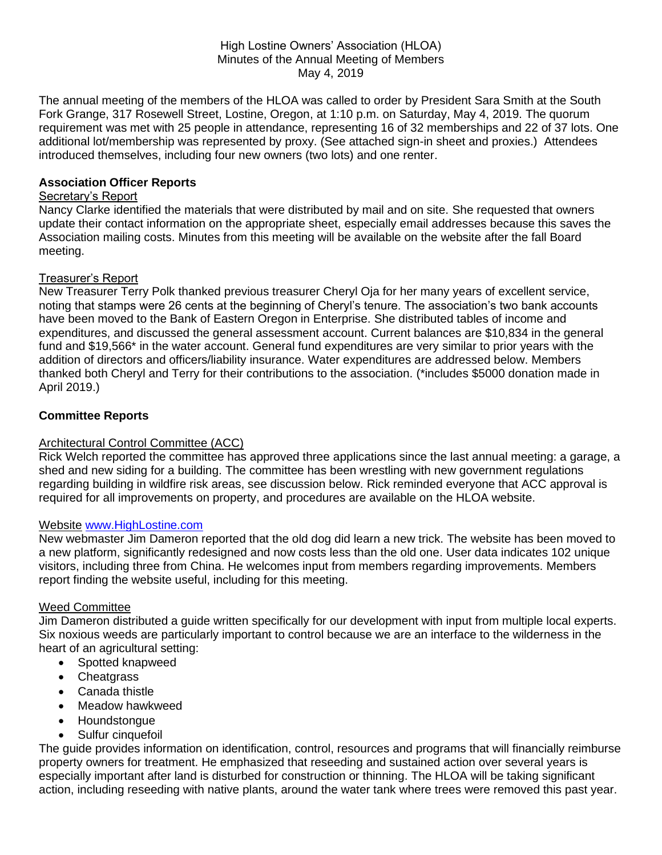### High Lostine Owners' Association (HLOA) Minutes of the Annual Meeting of Members May 4, 2019

The annual meeting of the members of the HLOA was called to order by President Sara Smith at the South Fork Grange, 317 Rosewell Street, Lostine, Oregon, at 1:10 p.m. on Saturday, May 4, 2019. The quorum requirement was met with 25 people in attendance, representing 16 of 32 memberships and 22 of 37 lots. One additional lot/membership was represented by proxy. (See attached sign-in sheet and proxies.) Attendees introduced themselves, including four new owners (two lots) and one renter.

## **Association Officer Reports**

### Secretary's Report

Nancy Clarke identified the materials that were distributed by mail and on site. She requested that owners update their contact information on the appropriate sheet, especially email addresses because this saves the Association mailing costs. Minutes from this meeting will be available on the website after the fall Board meeting.

### Treasurer's Report

New Treasurer Terry Polk thanked previous treasurer Cheryl Oja for her many years of excellent service, noting that stamps were 26 cents at the beginning of Cheryl's tenure. The association's two bank accounts have been moved to the Bank of Eastern Oregon in Enterprise. She distributed tables of income and expenditures, and discussed the general assessment account. Current balances are \$10,834 in the general fund and \$19,566\* in the water account. General fund expenditures are very similar to prior years with the addition of directors and officers/liability insurance. Water expenditures are addressed below. Members thanked both Cheryl and Terry for their contributions to the association. (\*includes \$5000 donation made in April 2019.)

# **Committee Reports**

# Architectural Control Committee (ACC)

Rick Welch reported the committee has approved three applications since the last annual meeting: a garage, a shed and new siding for a building. The committee has been wrestling with new government regulations regarding building in wildfire risk areas, see discussion below. Rick reminded everyone that ACC approval is required for all improvements on property, and procedures are available on the HLOA website.

### Website [www.HighLostine.com](http://www.highlostine.com/)

New webmaster Jim Dameron reported that the old dog did learn a new trick. The website has been moved to a new platform, significantly redesigned and now costs less than the old one. User data indicates 102 unique visitors, including three from China. He welcomes input from members regarding improvements. Members report finding the website useful, including for this meeting.

#### Weed Committee

Jim Dameron distributed a guide written specifically for our development with input from multiple local experts. Six noxious weeds are particularly important to control because we are an interface to the wilderness in the heart of an agricultural setting:

- Spotted knapweed
- Cheatgrass
- Canada thistle
- Meadow hawkweed
- Houndstongue
- Sulfur cinquefoil

The guide provides information on identification, control, resources and programs that will financially reimburse property owners for treatment. He emphasized that reseeding and sustained action over several years is especially important after land is disturbed for construction or thinning. The HLOA will be taking significant action, including reseeding with native plants, around the water tank where trees were removed this past year.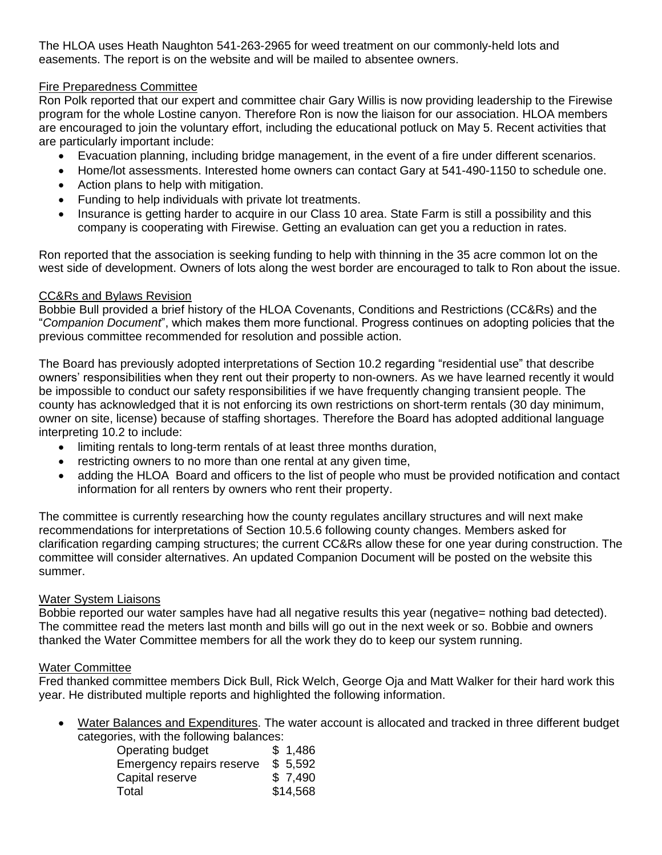The HLOA uses Heath Naughton 541-263-2965 for weed treatment on our commonly-held lots and easements. The report is on the website and will be mailed to absentee owners.

# Fire Preparedness Committee

Ron Polk reported that our expert and committee chair Gary Willis is now providing leadership to the Firewise program for the whole Lostine canyon. Therefore Ron is now the liaison for our association. HLOA members are encouraged to join the voluntary effort, including the educational potluck on May 5. Recent activities that are particularly important include:

- Evacuation planning, including bridge management, in the event of a fire under different scenarios.
- Home/lot assessments. Interested home owners can contact Gary at 541-490-1150 to schedule one.
- Action plans to help with mitigation.
- Funding to help individuals with private lot treatments.
- Insurance is getting harder to acquire in our Class 10 area. State Farm is still a possibility and this company is cooperating with Firewise. Getting an evaluation can get you a reduction in rates.

Ron reported that the association is seeking funding to help with thinning in the 35 acre common lot on the west side of development. Owners of lots along the west border are encouraged to talk to Ron about the issue.

# CC&Rs and Bylaws Revision

Bobbie Bull provided a brief history of the HLOA Covenants, Conditions and Restrictions (CC&Rs) and the "*Companion Document*", which makes them more functional. Progress continues on adopting policies that the previous committee recommended for resolution and possible action.

The Board has previously adopted interpretations of Section 10.2 regarding "residential use" that describe owners' responsibilities when they rent out their property to non-owners. As we have learned recently it would be impossible to conduct our safety responsibilities if we have frequently changing transient people. The county has acknowledged that it is not enforcing its own restrictions on short-term rentals (30 day minimum, owner on site, license) because of staffing shortages. Therefore the Board has adopted additional language interpreting 10.2 to include:

- limiting rentals to long-term rentals of at least three months duration,
- restricting owners to no more than one rental at any given time,
- adding the HLOA Board and officers to the list of people who must be provided notification and contact information for all renters by owners who rent their property.

The committee is currently researching how the county regulates ancillary structures and will next make recommendations for interpretations of Section 10.5.6 following county changes. Members asked for clarification regarding camping structures; the current CC&Rs allow these for one year during construction. The committee will consider alternatives. An updated Companion Document will be posted on the website this summer.

# Water System Liaisons

Bobbie reported our water samples have had all negative results this year (negative= nothing bad detected). The committee read the meters last month and bills will go out in the next week or so. Bobbie and owners thanked the Water Committee members for all the work they do to keep our system running.

# Water Committee

Fred thanked committee members Dick Bull, Rick Welch, George Oja and Matt Walker for their hard work this year. He distributed multiple reports and highlighted the following information.

• Water Balances and Expenditures. The water account is allocated and tracked in three different budget categories, with the following balances:

| Operating budget          | \$1,486  |
|---------------------------|----------|
| Emergency repairs reserve | \$5,592  |
| Capital reserve           | \$7,490  |
| Total                     | \$14,568 |
|                           |          |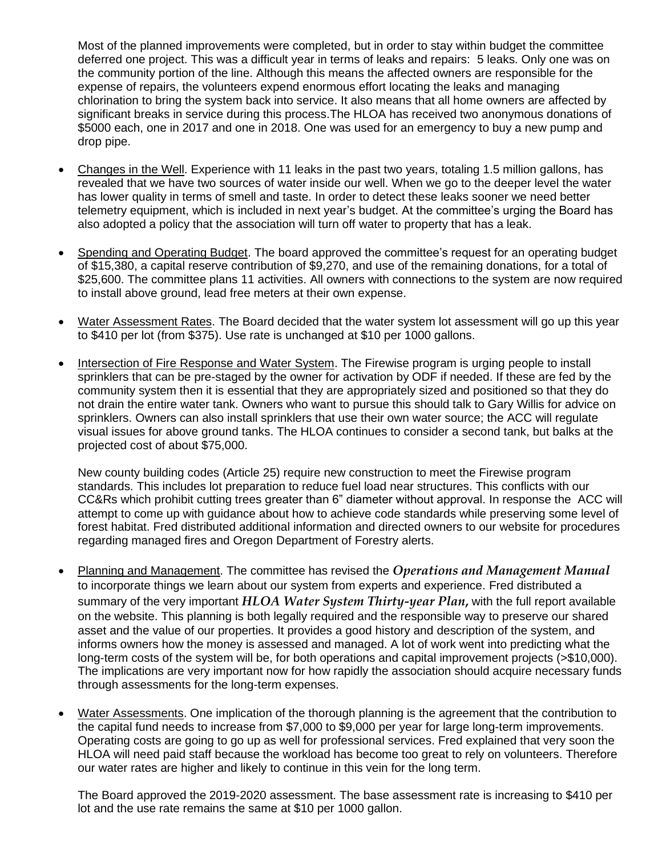Most of the planned improvements were completed, but in order to stay within budget the committee deferred one project. This was a difficult year in terms of leaks and repairs: 5 leaks. Only one was on the community portion of the line. Although this means the affected owners are responsible for the expense of repairs, the volunteers expend enormous effort locating the leaks and managing chlorination to bring the system back into service. It also means that all home owners are affected by significant breaks in service during this process.The HLOA has received two anonymous donations of \$5000 each, one in 2017 and one in 2018. One was used for an emergency to buy a new pump and drop pipe.

- Changes in the Well. Experience with 11 leaks in the past two years, totaling 1.5 million gallons, has revealed that we have two sources of water inside our well. When we go to the deeper level the water has lower quality in terms of smell and taste. In order to detect these leaks sooner we need better telemetry equipment, which is included in next year's budget. At the committee's urging the Board has also adopted a policy that the association will turn off water to property that has a leak.
- Spending and Operating Budget. The board approved the committee's request for an operating budget of \$15,380, a capital reserve contribution of \$9,270, and use of the remaining donations, for a total of \$25,600. The committee plans 11 activities. All owners with connections to the system are now required to install above ground, lead free meters at their own expense.
- Water Assessment Rates. The Board decided that the water system lot assessment will go up this vear to \$410 per lot (from \$375). Use rate is unchanged at \$10 per 1000 gallons.
- Intersection of Fire Response and Water System. The Firewise program is urging people to install sprinklers that can be pre-staged by the owner for activation by ODF if needed. If these are fed by the community system then it is essential that they are appropriately sized and positioned so that they do not drain the entire water tank. Owners who want to pursue this should talk to Gary Willis for advice on sprinklers. Owners can also install sprinklers that use their own water source; the ACC will regulate visual issues for above ground tanks. The HLOA continues to consider a second tank, but balks at the projected cost of about \$75,000.

New county building codes (Article 25) require new construction to meet the Firewise program standards. This includes lot preparation to reduce fuel load near structures. This conflicts with our CC&Rs which prohibit cutting trees greater than 6" diameter without approval. In response the ACC will attempt to come up with guidance about how to achieve code standards while preserving some level of forest habitat. Fred distributed additional information and directed owners to our website for procedures regarding managed fires and Oregon Department of Forestry alerts.

- Planning and Management. The committee has revised the *Operations and Management Manual* to incorporate things we learn about our system from experts and experience. Fred distributed a summary of the very important *HLOA Water System Thirty-year Plan***,** with the full report available on the website. This planning is both legally required and the responsible way to preserve our shared asset and the value of our properties. It provides a good history and description of the system, and informs owners how the money is assessed and managed. A lot of work went into predicting what the long-term costs of the system will be, for both operations and capital improvement projects (>\$10,000). The implications are very important now for how rapidly the association should acquire necessary funds through assessments for the long-term expenses.
- Water Assessments. One implication of the thorough planning is the agreement that the contribution to the capital fund needs to increase from \$7,000 to \$9,000 per year for large long-term improvements. Operating costs are going to go up as well for professional services. Fred explained that very soon the HLOA will need paid staff because the workload has become too great to rely on volunteers. Therefore our water rates are higher and likely to continue in this vein for the long term.

The Board approved the 2019-2020 assessment. The base assessment rate is increasing to \$410 per lot and the use rate remains the same at \$10 per 1000 gallon.